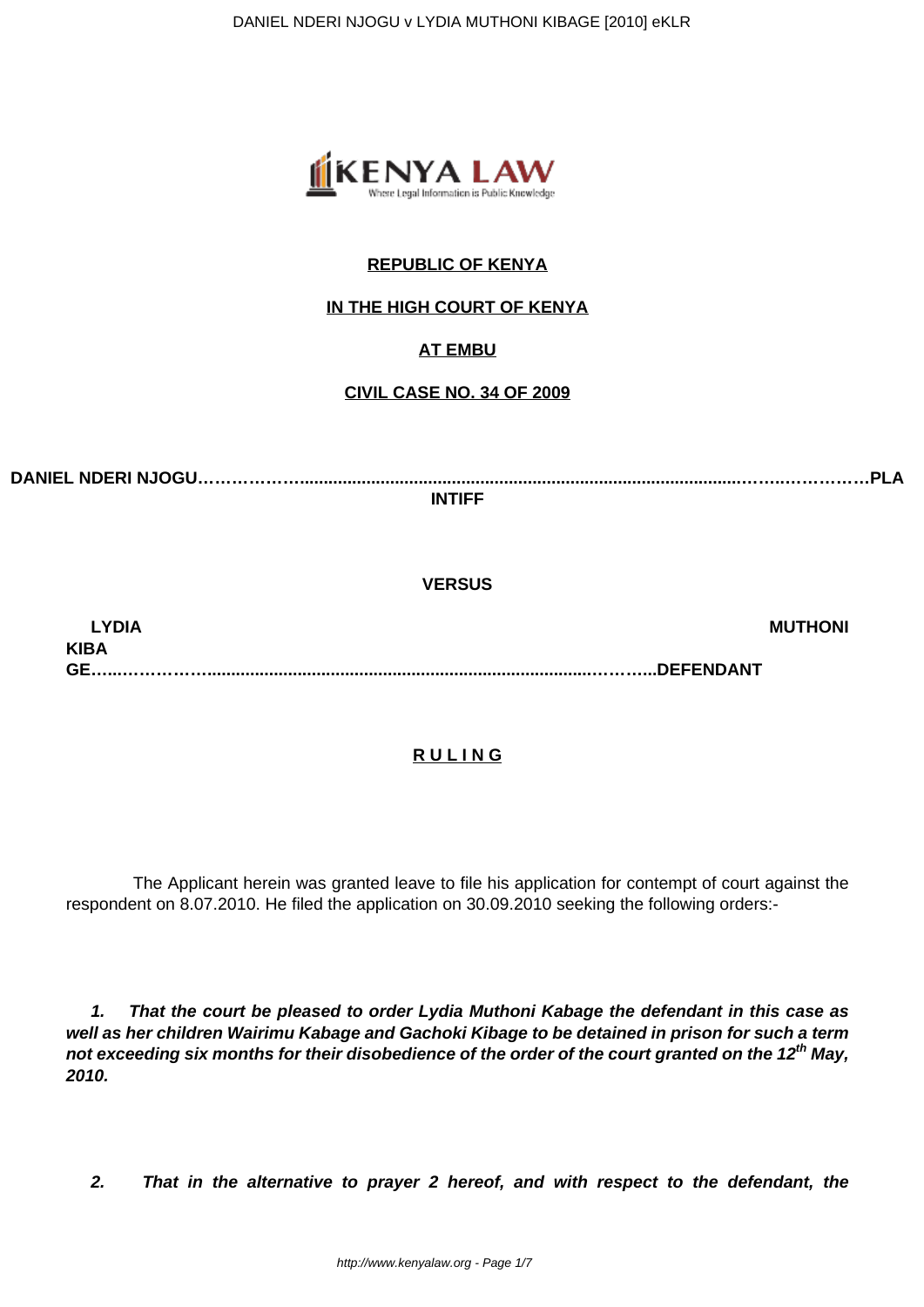

# **REPUBLIC OF KENYA**

## **IN THE HIGH COURT OF KENYA**

## **AT EMBU**

### **CIVIL CASE NO. 34 OF 2009**

**DANIEL NDERI NJOGU……………….............................................................................................……..……………PLA INTIFF**

**VERSUS**

**LYDIA MUTHONI KIBA GE…...…………….................................................................................………...DEFENDANT**

### **R U L I N G**

 The Applicant herein was granted leave to file his application for contempt of court against the respondent on 8.07.2010. He filed the application on 30.09.2010 seeking the following orders:-

**1. That the court be pleased to order Lydia Muthoni Kabage the defendant in this case as well as her children Wairimu Kabage and Gachoki Kibage to be detained in prison for such a term not exceeding six months for their disobedience of the order of the court granted on the 12th May, 2010.**

**2. That in the alternative to prayer 2 hereof, and with respect to the defendant, the**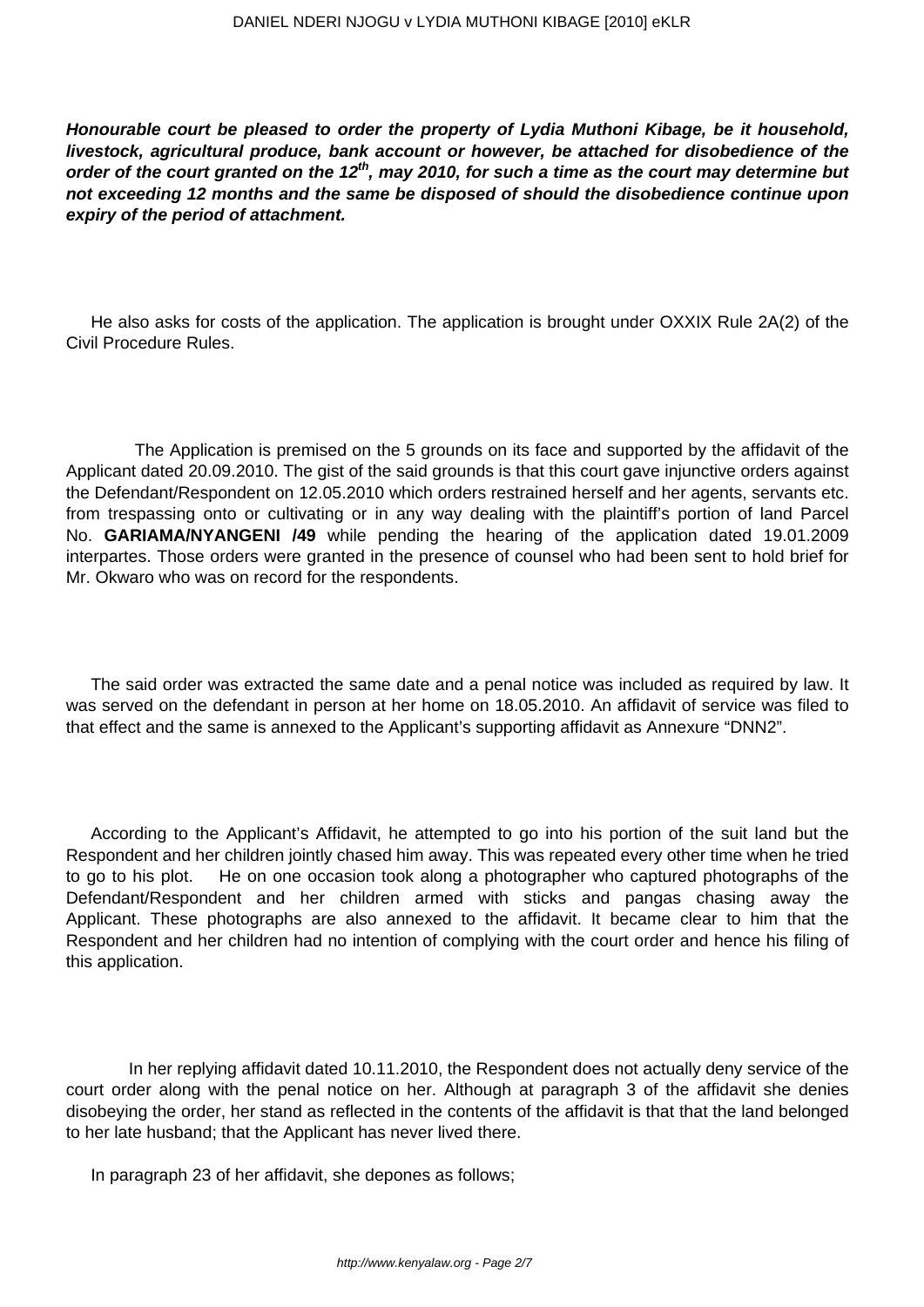**Honourable court be pleased to order the property of Lydia Muthoni Kibage, be it household, livestock, agricultural produce, bank account or however, be attached for disobedience of the order of the court granted on the 12th, may 2010, for such a time as the court may determine but not exceeding 12 months and the same be disposed of should the disobedience continue upon expiry of the period of attachment.**

He also asks for costs of the application. The application is brought under OXXIX Rule 2A(2) of the Civil Procedure Rules.

 The Application is premised on the 5 grounds on its face and supported by the affidavit of the Applicant dated 20.09.2010. The gist of the said grounds is that this court gave injunctive orders against the Defendant/Respondent on 12.05.2010 which orders restrained herself and her agents, servants etc. from trespassing onto or cultivating or in any way dealing with the plaintiff's portion of land Parcel No. **GARIAMA/NYANGENI /49** while pending the hearing of the application dated 19.01.2009 interpartes. Those orders were granted in the presence of counsel who had been sent to hold brief for Mr. Okwaro who was on record for the respondents.

The said order was extracted the same date and a penal notice was included as required by law. It was served on the defendant in person at her home on 18.05.2010. An affidavit of service was filed to that effect and the same is annexed to the Applicant's supporting affidavit as Annexure "DNN2".

According to the Applicant's Affidavit, he attempted to go into his portion of the suit land but the Respondent and her children jointly chased him away. This was repeated every other time when he tried to go to his plot. He on one occasion took along a photographer who captured photographs of the Defendant/Respondent and her children armed with sticks and pangas chasing away the Applicant. These photographs are also annexed to the affidavit. It became clear to him that the Respondent and her children had no intention of complying with the court order and hence his filing of this application.

 In her replying affidavit dated 10.11.2010, the Respondent does not actually deny service of the court order along with the penal notice on her. Although at paragraph 3 of the affidavit she denies disobeying the order, her stand as reflected in the contents of the affidavit is that that the land belonged to her late husband; that the Applicant has never lived there.

In paragraph 23 of her affidavit, she depones as follows;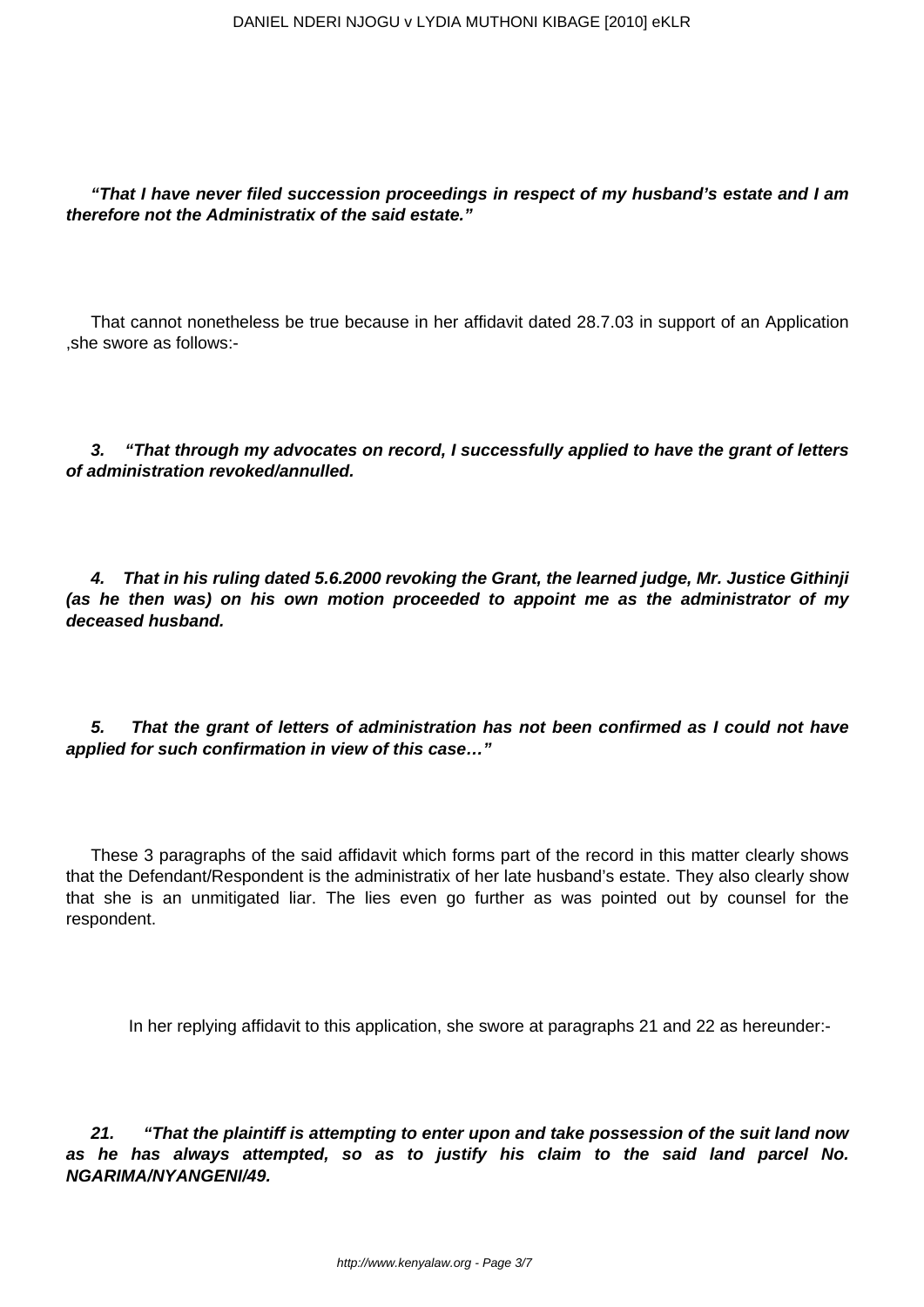**"That I have never filed succession proceedings in respect of my husband's estate and I am therefore not the Administratix of the said estate."**

That cannot nonetheless be true because in her affidavit dated 28.7.03 in support of an Application ,she swore as follows:-

**3. "That through my advocates on record, I successfully applied to have the grant of letters of administration revoked/annulled.**

**4. That in his ruling dated 5.6.2000 revoking the Grant, the learned judge, Mr. Justice Githinji (as he then was) on his own motion proceeded to appoint me as the administrator of my deceased husband.**

**5. That the grant of letters of administration has not been confirmed as I could not have applied for such confirmation in view of this case…"**

These 3 paragraphs of the said affidavit which forms part of the record in this matter clearly shows that the Defendant/Respondent is the administratix of her late husband's estate. They also clearly show that she is an unmitigated liar. The lies even go further as was pointed out by counsel for the respondent.

In her replying affidavit to this application, she swore at paragraphs 21 and 22 as hereunder:-

**21. "That the plaintiff is attempting to enter upon and take possession of the suit land now as he has always attempted, so as to justify his claim to the said land parcel No. NGARIMA/NYANGENI/49.**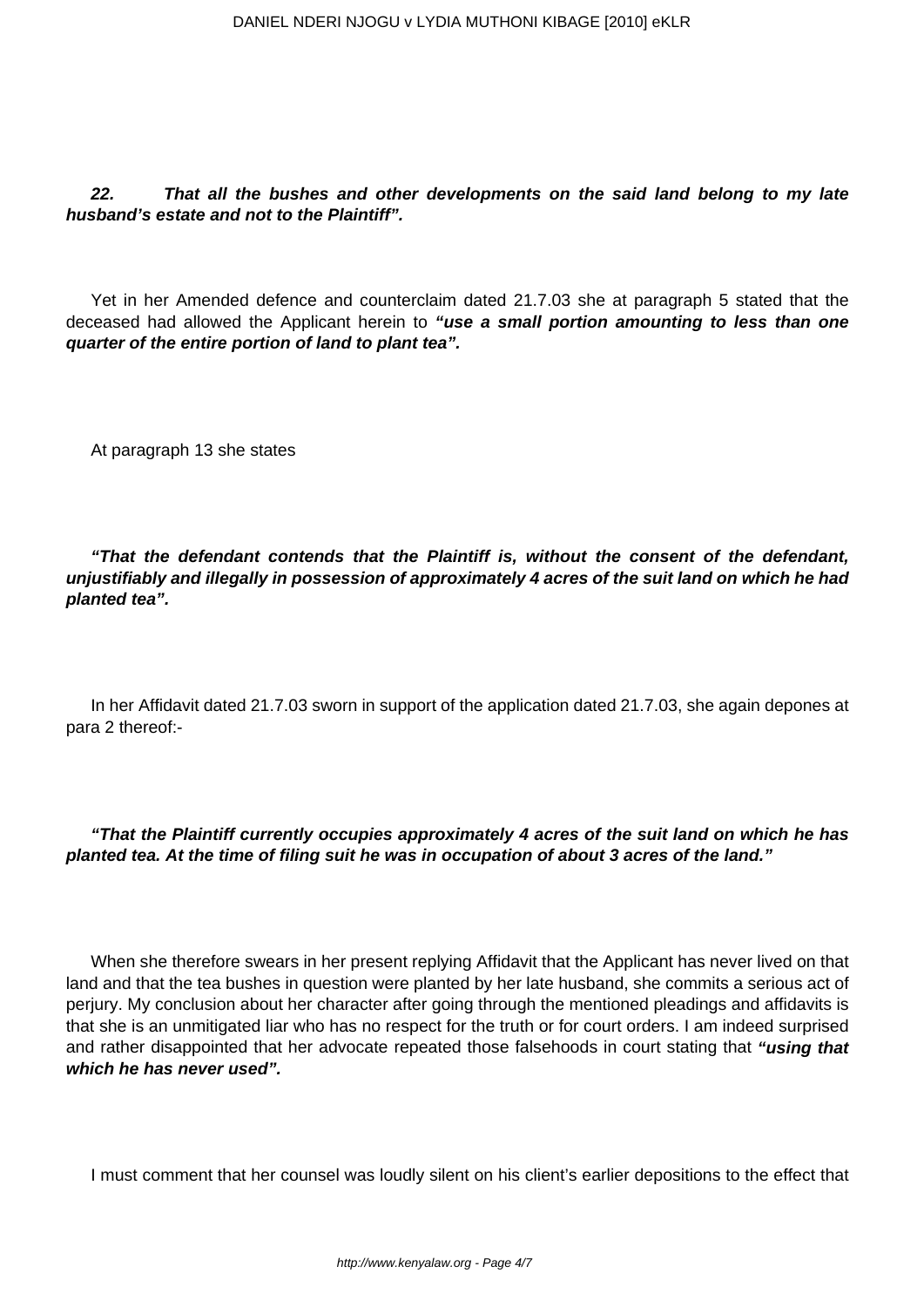**22. That all the bushes and other developments on the said land belong to my late husband's estate and not to the Plaintiff".**

Yet in her Amended defence and counterclaim dated 21.7.03 she at paragraph 5 stated that the deceased had allowed the Applicant herein to **"use a small portion amounting to less than one quarter of the entire portion of land to plant tea".**

At paragraph 13 she states

**"That the defendant contends that the Plaintiff is, without the consent of the defendant, unjustifiably and illegally in possession of approximately 4 acres of the suit land on which he had planted tea".**

In her Affidavit dated 21.7.03 sworn in support of the application dated 21.7.03, she again depones at para 2 thereof:-

**"That the Plaintiff currently occupies approximately 4 acres of the suit land on which he has planted tea. At the time of filing suit he was in occupation of about 3 acres of the land."**

When she therefore swears in her present replying Affidavit that the Applicant has never lived on that land and that the tea bushes in question were planted by her late husband, she commits a serious act of perjury. My conclusion about her character after going through the mentioned pleadings and affidavits is that she is an unmitigated liar who has no respect for the truth or for court orders. I am indeed surprised and rather disappointed that her advocate repeated those falsehoods in court stating that **"using that which he has never used".**

I must comment that her counsel was loudly silent on his client's earlier depositions to the effect that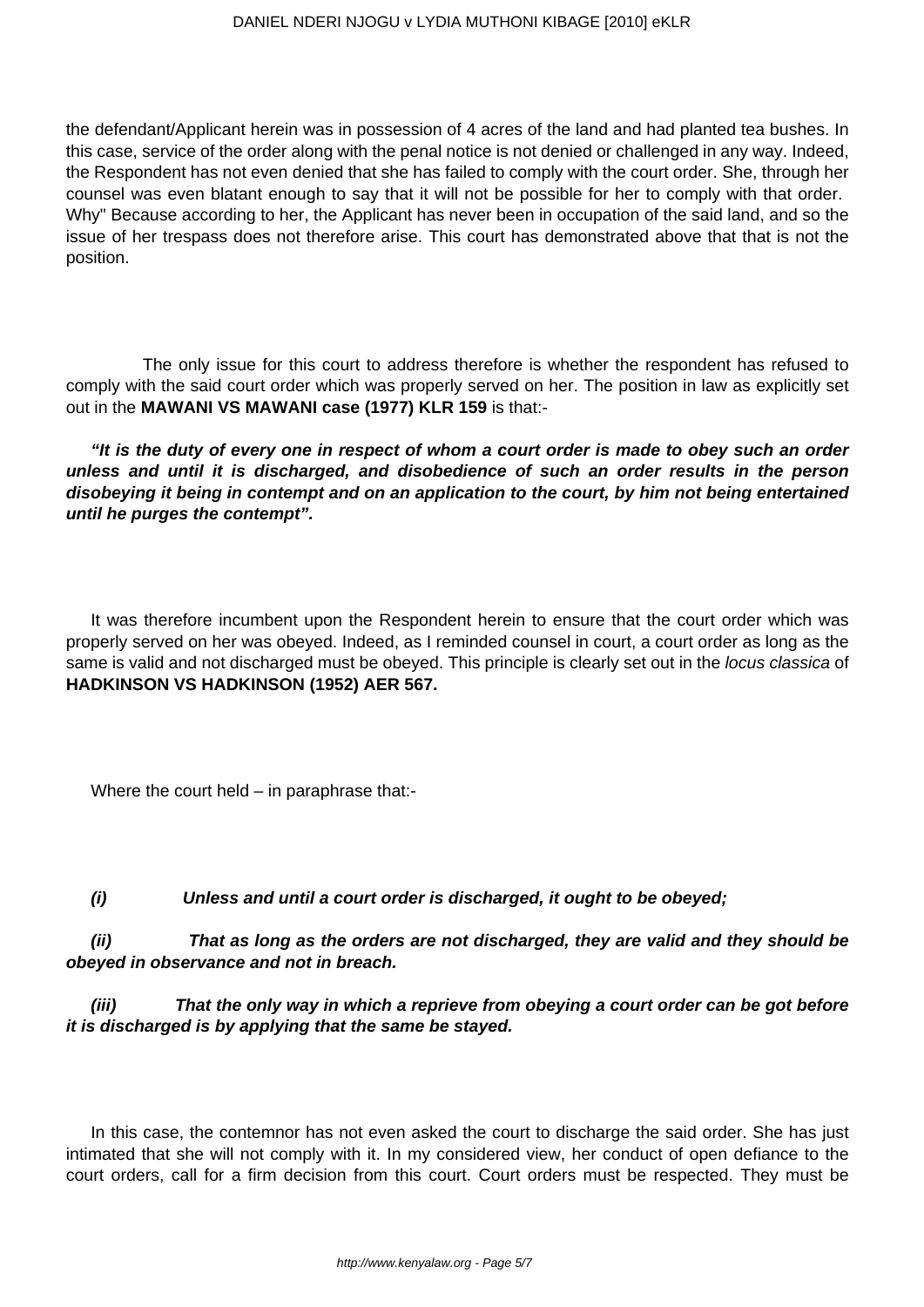the defendant/Applicant herein was in possession of 4 acres of the land and had planted tea bushes. In this case, service of the order along with the penal notice is not denied or challenged in any way. Indeed, the Respondent has not even denied that she has failed to comply with the court order. She, through her counsel was even blatant enough to say that it will not be possible for her to comply with that order. Why" Because according to her, the Applicant has never been in occupation of the said land, and so the issue of her trespass does not therefore arise. This court has demonstrated above that that is not the position.

 The only issue for this court to address therefore is whether the respondent has refused to comply with the said court order which was properly served on her. The position in law as explicitly set out in the **MAWANI VS MAWANI case (1977) KLR 159** is that:-

**"It is the duty of every one in respect of whom a court order is made to obey such an order unless and until it is discharged, and disobedience of such an order results in the person disobeying it being in contempt and on an application to the court, by him not being entertained until he purges the contempt".**

It was therefore incumbent upon the Respondent herein to ensure that the court order which was properly served on her was obeyed. Indeed, as I reminded counsel in court, a court order as long as the same is valid and not discharged must be obeyed. This principle is clearly set out in the locus classica of **HADKINSON VS HADKINSON (1952) AER 567.**

Where the court held – in paraphrase that:-

**(i) Unless and until a court order is discharged, it ought to be obeyed;**

**(ii) That as long as the orders are not discharged, they are valid and they should be obeyed in observance and not in breach.**

**(iii) That the only way in which a reprieve from obeying a court order can be got before it is discharged is by applying that the same be stayed.**

In this case, the contemnor has not even asked the court to discharge the said order. She has just intimated that she will not comply with it. In my considered view, her conduct of open defiance to the court orders, call for a firm decision from this court. Court orders must be respected. They must be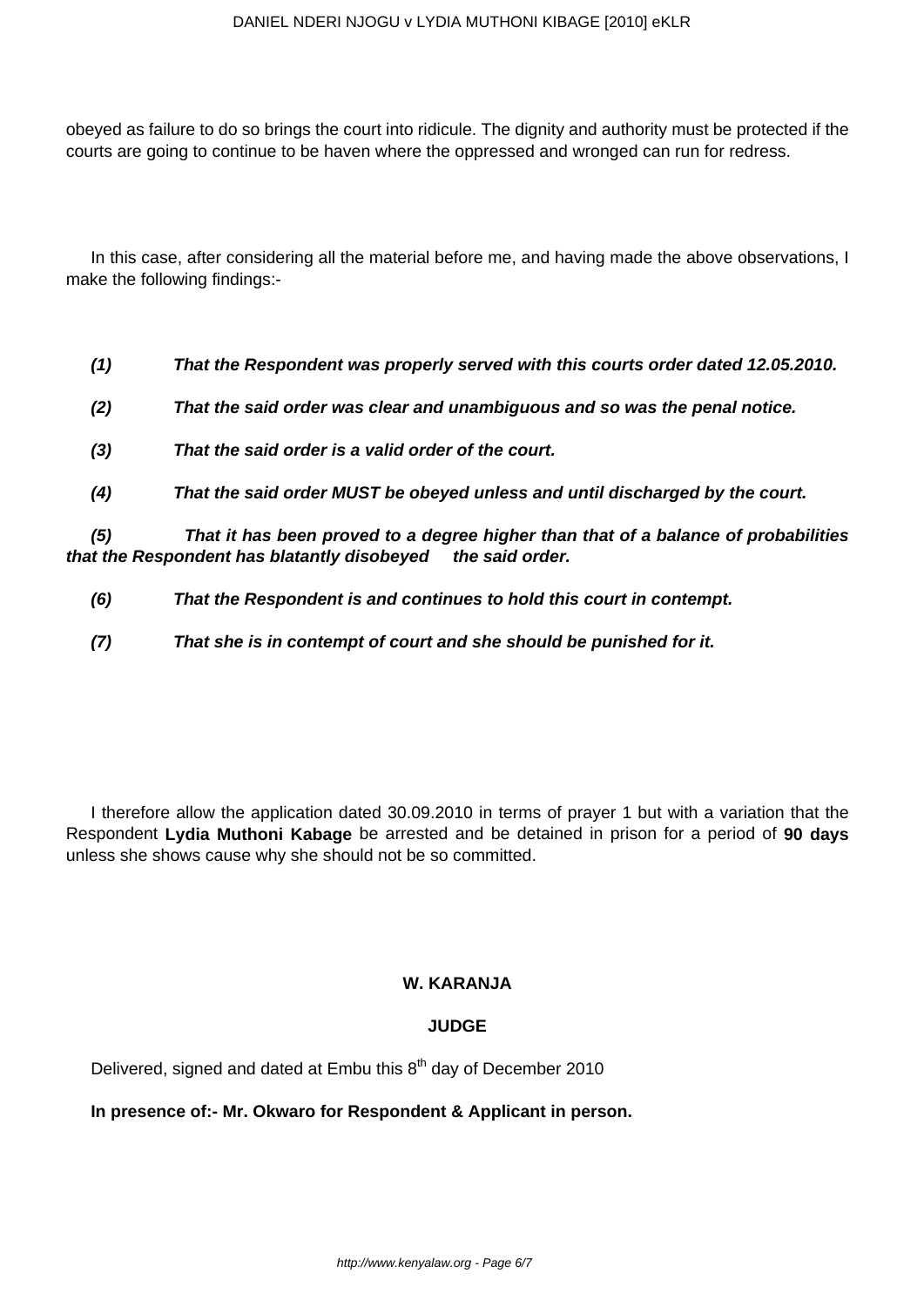obeyed as failure to do so brings the court into ridicule. The dignity and authority must be protected if the courts are going to continue to be haven where the oppressed and wronged can run for redress.

In this case, after considering all the material before me, and having made the above observations, I make the following findings:-

- **(1) That the Respondent was properly served with this courts order dated 12.05.2010.**
- **(2) That the said order was clear and unambiguous and so was the penal notice.**
- **(3) That the said order is a valid order of the court.**
- **(4) That the said order MUST be obeyed unless and until discharged by the court.**

**(5) That it has been proved to a degree higher than that of a balance of probabilities that the Respondent has blatantly disobeyed the said order.**

- **(6) That the Respondent is and continues to hold this court in contempt.**
- **(7) That she is in contempt of court and she should be punished for it.**

I therefore allow the application dated 30.09.2010 in terms of prayer 1 but with a variation that the Respondent **Lydia Muthoni Kabage** be arrested and be detained in prison for a period of **90 days** unless she shows cause why she should not be so committed.

### **W. KARANJA**

#### **JUDGE**

Delivered, signed and dated at Embu this  $8<sup>th</sup>$  day of December 2010

#### **In presence of:- Mr. Okwaro for Respondent & Applicant in person.**